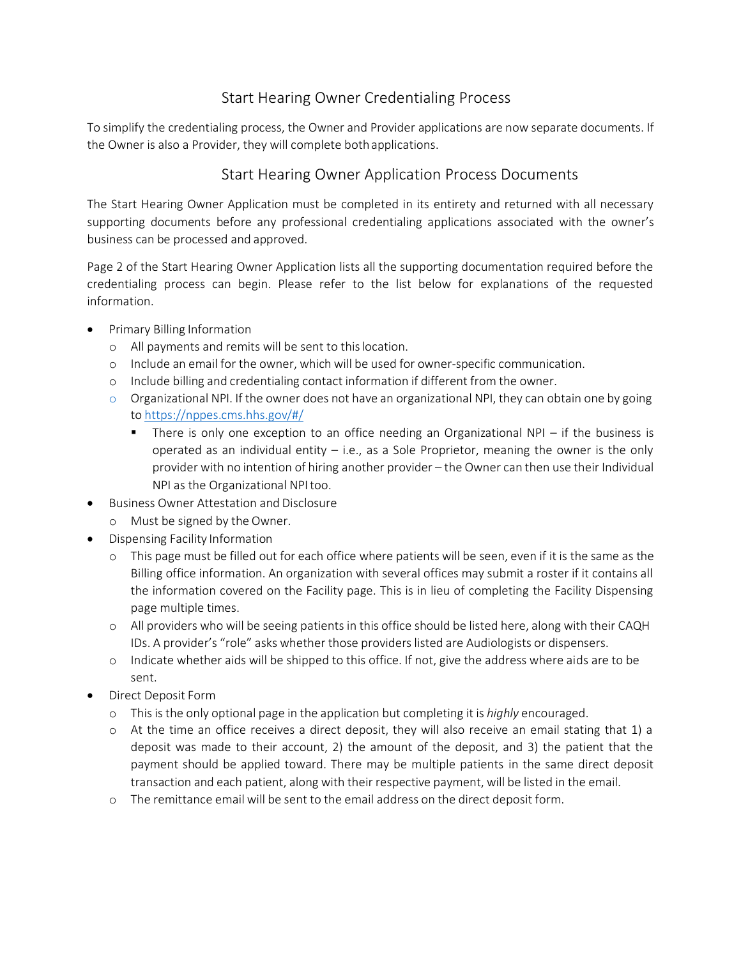## Start Hearing Owner Credentialing Process

To simplify the credentialing process, the Owner and Provider applications are now separate documents. If the Owner is also a Provider, they will complete bothapplications.

## Start Hearing Owner Application Process Documents

The Start Hearing Owner Application must be completed in its entirety and returned with all necessary supporting documents before any professional credentialing applications associated with the owner's business can be processed and approved.

Page 2 of the Start Hearing Owner Application lists all the supporting documentation required before the credentialing process can begin. Please refer to the list below for explanations of the requested information.

- Primary Billing Information
	- o All payments and remits will be sent to thislocation.
	- o Include an email for the owner, which will be used for owner‐specific communication.
	- o Include billing and credentialing contact information if different from the owner.
	- $\circ$  Organizational NPI. If the owner does not have an organizational NPI, they can obtain one by going to https://nppes.cms.hhs.gov/#/
		- There is only one exception to an office needing an Organizational  $NPI if$  the business is operated as an individual entity  $-$  i.e., as a Sole Proprietor, meaning the owner is the only provider with no intention of hiring another provider – the Owner can then use their Individual NPI as the Organizational NPI too.
- Business Owner Attestation and Disclosure
	- o Must be signed by the Owner.
- Dispensing Facility Information
	- o This page must be filled out for each office where patients will be seen, even if it is the same as the Billing office information. An organization with several offices may submit a roster if it contains all the information covered on the Facility page. This is in lieu of completing the Facility Dispensing page multiple times.
	- o All providers who will be seeing patients in this office should be listed here, along with their CAQH IDs. A provider's "role" asks whether those providers listed are Audiologists or dispensers.
	- o Indicate whether aids will be shipped to this office. If not, give the address where aids are to be sent.
- Direct Deposit Form
	- o This is the only optional page in the application but completing it is *highly* encouraged.
	- o At the time an office receives a direct deposit, they will also receive an email stating that 1) a deposit was made to their account, 2) the amount of the deposit, and 3) the patient that the payment should be applied toward. There may be multiple patients in the same direct deposit transaction and each patient, along with their respective payment, will be listed in the email.
	- o The remittance email will be sent to the email address on the direct deposit form.